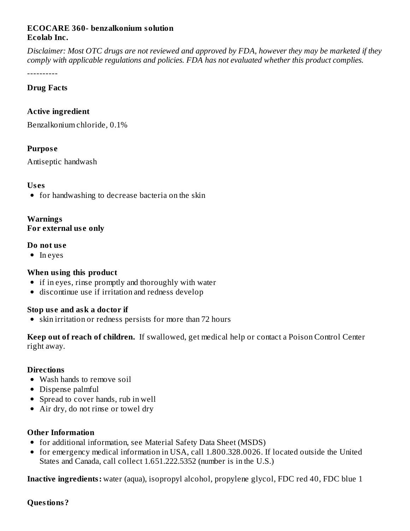## **ECOCARE 360- benzalkonium solution Ecolab Inc.**

Disclaimer: Most OTC drugs are not reviewed and approved by FDA, however they may be marketed if they *comply with applicable regulations and policies. FDA has not evaluated whether this product complies.*

----------

#### **Drug Facts**

## **Active ingredient**

Benzalkonium chloride, 0.1%

#### **Purpos e**

Antiseptic handwash

#### **Us es**

• for handwashing to decrease bacteria on the skin

# **Warnings**

**For external us e only**

#### **Do not us e**

• In eyes

## **When using this product**

- if in eyes, rinse promptly and thoroughly with water
- discontinue use if irritation and redness develop

## **Stop us e and ask a doctor if**

• skin irritation or redness persists for more than 72 hours

**Keep out of reach of children.** If swallowed, get medical help or contact a Poison Control Center right away.

#### **Directions**

- Wash hands to remove soil
- Dispense palmful
- Spread to cover hands, rub in well
- Air dry, do not rinse or towel dry

## **Other Information**

- for additional information, see Material Safety Data Sheet (MSDS)
- for emergency medical information in USA, call 1.800.328.0026. If located outside the United States and Canada, call collect 1.651.222.5352 (number is in the U.S.)

**Inactive ingredients:** water (aqua), isopropyl alcohol, propylene glycol, FDC red 40, FDC blue 1

**Questions?**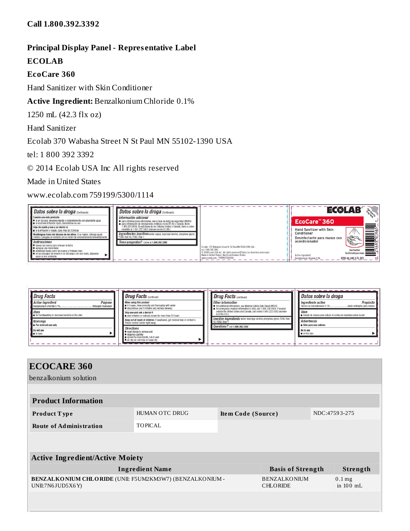## **Principal Display Panel - Repres entative Label**

#### **ECOLAB**

#### **EcoCare 360**

Hand Sanitizer with Skin Conditioner

## **Active Ingredient:** Benzalkonium Chloride 0.1%

1250 mL (42.3 flx oz)

Hand Sanitizer

## Ecolab 370 Wabasha Street N St Paul MN 55102-1390 USA

tel: 1 800 392 3392

© 2014 Ecolab USA Inc All rights reserved

Made in United States

www.ecolab.com 759199/5300/1114



| Drug Facts<br><b>Active ingredient</b><br><b>Purpose</b><br>Benzalkonium chloride 0.1%.<br>Antiseptic handwash<br><b>Uses</b><br>for handwashing to decrease bacteria on the skin | <b>Drua Facts continued </b><br><b>Drug Facts (continued)</b><br>Other information<br>When using this product<br>if in eyes, rinse promptly and thoroughly with water<br>for additional information, see Material Safety Data Sheet (MSDS)<br>discontinue use if irritation and redness develop<br>for emergency medical information in USA, call 1.800.328.0026. If located<br>outside the United States and Canada, call collect 1.651.222.5352 (number<br>Stop use and ask a doctor if<br>$\overline{\mathsf{ls}}$ in the U.S.)<br>skin irritation or redness occurs for more than 72 hours | Datos sobre la droga<br>Propósito<br>Ingrediente activo<br>Cloruro de benzalkonium 0.1%<br>Jabón antiséptic para manos<br><b>Usos</b><br>avado de manos para reducir el conteo de bacterias sobre la piel |
|-----------------------------------------------------------------------------------------------------------------------------------------------------------------------------------|------------------------------------------------------------------------------------------------------------------------------------------------------------------------------------------------------------------------------------------------------------------------------------------------------------------------------------------------------------------------------------------------------------------------------------------------------------------------------------------------------------------------------------------------------------------------------------------------|-----------------------------------------------------------------------------------------------------------------------------------------------------------------------------------------------------------|
| <b>Warnings</b><br><b>External use only</b>                                                                                                                                       | Inactive ingredients water, isopropyl alcohol, propylene glycol, FD&C Red<br>Keep out of reach of children. If swallowed, get medical help or contact a<br>40. FD&C Blue<br>Poison Control Center right away.<br>Questions? call 1,800,392,3392                                                                                                                                                                                                                                                                                                                                                | Advertencia<br>Sólo para uso externo                                                                                                                                                                      |
| Do not use<br>$\blacksquare$ in eves                                                                                                                                              | <b>Directions</b><br>wash hands to remove soil<br>dispense palmful<br>spread to cover hands, rub in well<br>air dry, do not rinse or towel dry                                                                                                                                                                                                                                                                                                                                                                                                                                                 | No lo use<br><b>n</b> en los oios                                                                                                                                                                         |

| <b>ECOCARE 360</b>                                                           |                        |                                        |                          |                         |          |  |
|------------------------------------------------------------------------------|------------------------|----------------------------------------|--------------------------|-------------------------|----------|--|
| benzalkonium solution                                                        |                        |                                        |                          |                         |          |  |
|                                                                              |                        |                                        |                          |                         |          |  |
| <b>Product Information</b>                                                   |                        |                                        |                          |                         |          |  |
| Product Type                                                                 | <b>HUMAN OTC DRUG</b>  | Item Code (Source)                     |                          | NDC:47593-275           |          |  |
| <b>Route of Administration</b>                                               | <b>TOPICAL</b>         |                                        |                          |                         |          |  |
|                                                                              |                        |                                        |                          |                         |          |  |
|                                                                              |                        |                                        |                          |                         |          |  |
| <b>Active Ingredient/Active Moiety</b>                                       |                        |                                        |                          |                         |          |  |
|                                                                              | <b>Ingredient Name</b> |                                        | <b>Basis of Strength</b> |                         | Strength |  |
| BENZALKONIUM CHLORIDE (UNII: F5UM2KM3W7) (BENZALKONIUM -<br>UNII:7N6JUD5X6Y) |                        | <b>BENZALKONIUM</b><br><b>CHLORIDE</b> |                          | $0.1$ mg<br>in $100$ mL |          |  |
|                                                                              |                        |                                        |                          |                         |          |  |
|                                                                              |                        |                                        |                          |                         |          |  |